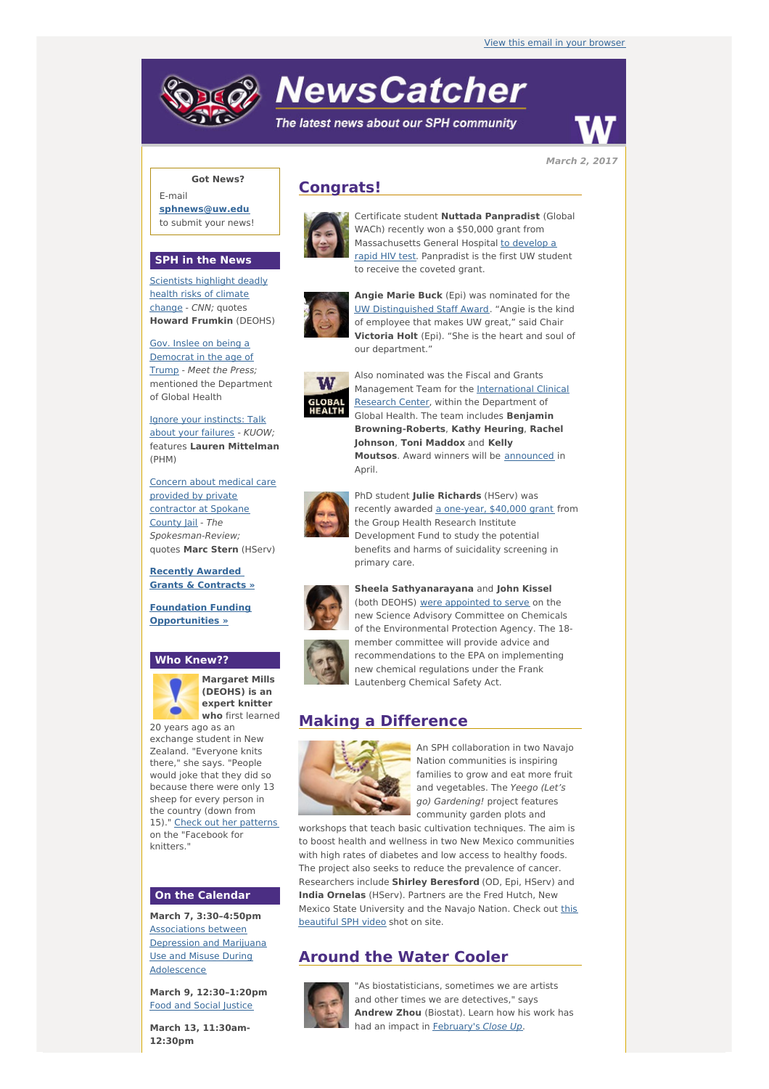# **NewsCatcher**

The latest news about our SPH community



**March 2, 2017**

### **Got News?**

E-mail **[sphnews@uw.edu](mailto:sphnews@uw.edu)** to submit your news!

#### **SPH in the News**

[Scientists](http://engage.washington.edu/site/R?i=bkLyBdueZ4QdwfB79Ph4mQ) highlight deadly health risks of climate change - CNN; quotes **Howard Frumkin** (DEOHS)

Gov. Inslee on being a [Democrat](http://engage.washington.edu/site/R?i=O6mLhhZ_1A52am_N5f6zYw) in the age of Trump - Meet the Press; mentioned the Department of Global Health

Ignore your [instincts:](http://engage.washington.edu/site/R?i=LNwT_lRdqiWPghOJMH8JLg) Talk about your failures - KUOW; features **Lauren Mittelman** (PHM)

Concern about medical care provided by private [contractor](http://engage.washington.edu/site/R?i=fUr9GM9pFre76AnjoVjLwg) at Spokane County Jail - The Spokesman-Review; quotes **Marc Stern** (HServ)

**Recently Awarded Grants & [Contracts](http://engage.washington.edu/site/R?i=YumuivJ5_mpfU1BuY4LDgQ) »**

**Foundation Funding [Opportunities](http://engage.washington.edu/site/R?i=QhOK2Og-LsYqelSF7EgG5w) »**

#### **Who Knew??**



**Margaret Mills (DEOHS) is an expert knitter who** first learned

20 years ago as an exchange student in New Zealand. "Everyone knits there," she says. "People would joke that they did so because there were only 13 sheep for every person in the country (down from 15)." Check out her [patterns](http://engage.washington.edu/site/R?i=HRpsBoSALbKYBBrRStPGzA) on the "Facebook for knitters."

#### **On the Calendar**

**March 7, 3:30–4:50pm** [Associations](http://engage.washington.edu/site/R?i=3UOSdqAetRFH0mCbDq0Ydw) between Depression and Marijuana Use and Misuse During Adolescence

**March 9, 12:30–1:20pm** Food and Social [Justice](http://engage.washington.edu/site/R?i=j5GxvSZfic53QEPUVUPr9Q)

**March 13, 11:30am-12:30pm**

## **Congrats!**



Certificate student **Nuttada Panpradist** (Global WACh) recently won a \$50,000 grant from [Massachusetts](http://engage.washington.edu/site/R?i=YVbRINekSZSZvcFOhok4Iw) General Hospital to develop a rapid HIV test. Panpradist is the first UW student to receive the coveted grant.



**Angie Marie Buck** (Epi) was nominated for the UW [Distinguished](http://engage.washington.edu/site/R?i=vmvkHu6B_WEqkIM00CPv_A) Staff Award. "Angie is the kind of employee that makes UW great," said Chair **Victoria Holt** (Epi). "She is the heart and soul of our department."



Also nominated was the Fiscal and Grants [Management](http://engage.washington.edu/site/R?i=MkVz88u9ac2MKeWMtZOeEg) Team for the International Clinical Research Center, within the Department of Global Health. The team includes **Benjamin Browning-Roberts**, **Kathy Heuring**, **Rachel Johnson**, **Toni Maddox** and **Kelly Moutsos**. Award winners will be **[announced](http://engage.washington.edu/site/R?i=JOSivXVT1aUTOtSAPF9pIw)** in April.



PhD student **Julie Richards** (HServ) was recently awarded a [one-year,](http://engage.washington.edu/site/R?i=r7ZDRNEUDrjIjFWP8xC3GA) \$40,000 grant from the Group Health Research Institute Development Fund to study the potential benefits and harms of suicidality screening in primary care.



**Sheela Sathyanarayana** and **John Kissel** (both DEOHS) were [appointed](http://engage.washington.edu/site/R?i=ylugQ2BdVAt25uQfK0HBFw) to serve on the new Science Advisory Committee on Chemicals of the Environmental Protection Agency. The 18 member committee will provide advice and recommendations to the EPA on implementing new chemical regulations under the Frank Lautenberg Chemical Safety Act.

# **Making a Difference**



An SPH collaboration in two Navajo Nation communities is inspiring families to grow and eat more fruit and vegetables. The Yeego (Let's go) Gardening! project features community garden plots and

workshops that teach basic cultivation techniques. The aim is to boost health and wellness in two New Mexico communities with high rates of diabetes and low access to healthy foods. The project also seeks to reduce the prevalence of cancer. Researchers include **Shirley Beresford** (OD, Epi, HServ) and **India Ornelas** (HServ). Partners are the Fred Hutch, New Mexico State [University](http://engage.washington.edu/site/R?i=7LysA8fLxtrk2Pg0Nq10lA) and the Navajo Nation. Check out this beautiful SPH video shot on site.

# **Around the Water Cooler**



"As biostatisticians, sometimes we are artists and other times we are detectives," says **Andrew Zhou** (Biostat). Learn how his work has had an impact in **[February's](http://engage.washington.edu/site/R?i=gz9FQFgIt3Xfz5U5ykhHYA) Close Up.**